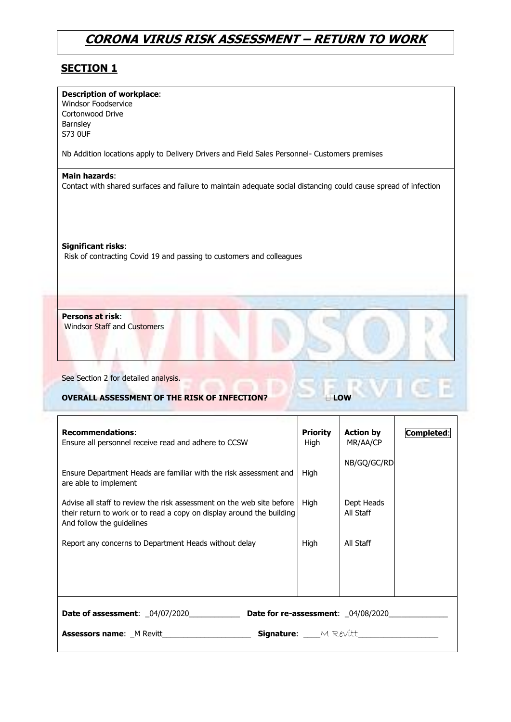#### **SECTION 1**

| <b>Description of workplace:</b>                    |                                                                                                                 |
|-----------------------------------------------------|-----------------------------------------------------------------------------------------------------------------|
| Windsor Foodservice                                 |                                                                                                                 |
| Cortonwood Drive                                    |                                                                                                                 |
| Barnsley                                            |                                                                                                                 |
| <b>S73 OUF</b>                                      |                                                                                                                 |
|                                                     | Nb Addition locations apply to Delivery Drivers and Field Sales Personnel- Customers premises                   |
| Main hazards:                                       |                                                                                                                 |
|                                                     | Contact with shared surfaces and failure to maintain adequate social distancing could cause spread of infection |
|                                                     |                                                                                                                 |
|                                                     |                                                                                                                 |
|                                                     |                                                                                                                 |
| <b>Significant risks:</b>                           |                                                                                                                 |
|                                                     |                                                                                                                 |
|                                                     |                                                                                                                 |
|                                                     | Risk of contracting Covid 19 and passing to customers and colleagues                                            |
|                                                     |                                                                                                                 |
|                                                     |                                                                                                                 |
|                                                     |                                                                                                                 |
| Persons at risk:                                    |                                                                                                                 |
| <b>Windsor Staff and Customers</b>                  |                                                                                                                 |
|                                                     |                                                                                                                 |
|                                                     |                                                                                                                 |
|                                                     |                                                                                                                 |
| See Section 2 for detailed analysis.                |                                                                                                                 |
| <b>OVERALL ASSESSMENT OF THE RISK OF INFECTION?</b> | LOW                                                                                                             |

| <b>Recommendations:</b><br>Ensure all personnel receive read and adhere to CCSW                                                                                             | <b>Priority</b><br>High | <b>Action by</b><br>MR/AA/CP | Completed: |  |  |  |  |  |
|-----------------------------------------------------------------------------------------------------------------------------------------------------------------------------|-------------------------|------------------------------|------------|--|--|--|--|--|
| Ensure Department Heads are familiar with the risk assessment and<br>are able to implement                                                                                  | High                    | NB/GQ/GC/RD                  |            |  |  |  |  |  |
| Advise all staff to review the risk assessment on the web site before<br>their return to work or to read a copy on display around the building<br>And follow the guidelines | High                    | Dept Heads<br>All Staff      |            |  |  |  |  |  |
| Report any concerns to Department Heads without delay                                                                                                                       | High                    | All Staff                    |            |  |  |  |  |  |
|                                                                                                                                                                             |                         |                              |            |  |  |  |  |  |
|                                                                                                                                                                             |                         |                              |            |  |  |  |  |  |
| Signature: MRevitt<br><b>Assessors name:</b> M Revitt                                                                                                                       |                         |                              |            |  |  |  |  |  |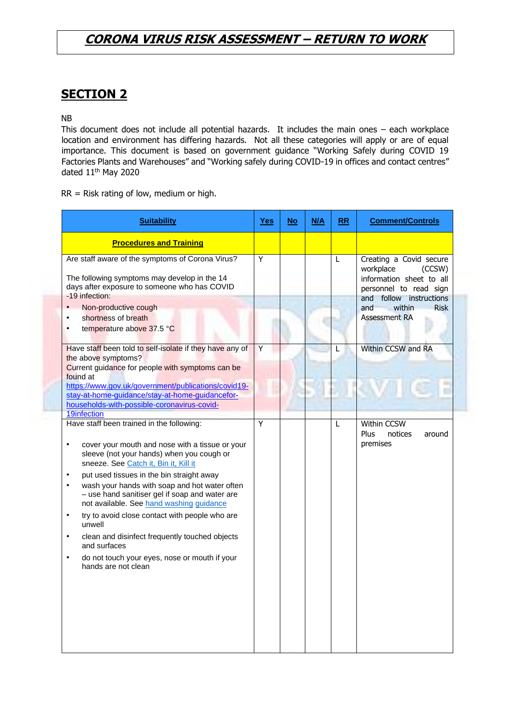#### **SECTION 2**

NB

This document does not include all potential hazards. It includes the main ones – each workplace location and environment has differing hazards. Not all these categories will apply or are of equal importance. This document is based on government guidance "Working Safely during COVID 19 Factories Plants and Warehouses" and "Working safely during COVID-19 in offices and contact centres" dated 11th May 2020

RR = Risk rating of low, medium or high.

| <b>Suitability</b>                                                                                                                                                                                                                                                                                                                                                                                                                                                                                                                                                                                                          | <b>Yes</b> | <b>No</b> | M/A | RR | <b>Comment/Controls</b>                                                                              |
|-----------------------------------------------------------------------------------------------------------------------------------------------------------------------------------------------------------------------------------------------------------------------------------------------------------------------------------------------------------------------------------------------------------------------------------------------------------------------------------------------------------------------------------------------------------------------------------------------------------------------------|------------|-----------|-----|----|------------------------------------------------------------------------------------------------------|
| <b>Procedures and Training</b>                                                                                                                                                                                                                                                                                                                                                                                                                                                                                                                                                                                              |            |           |     |    |                                                                                                      |
| Are staff aware of the symptoms of Corona Virus?<br>The following symptoms may develop in the 14<br>days after exposure to someone who has COVID                                                                                                                                                                                                                                                                                                                                                                                                                                                                            | Y          |           |     | L  | Creating a Covid secure<br>workplace<br>(CCSW)<br>information sheet to all<br>personnel to read sign |
| -19 infection:<br>Non-productive cough<br>shortness of breath<br>temperature above 37.5 °C                                                                                                                                                                                                                                                                                                                                                                                                                                                                                                                                  |            |           |     |    | and follow instructions<br>within<br>and<br><b>Risk</b><br><b>Assessment RA</b>                      |
| Have staff been told to self-isolate if they have any of<br>the above symptoms?<br>Current guidance for people with symptoms can be<br>found at                                                                                                                                                                                                                                                                                                                                                                                                                                                                             | Y          |           |     | L  | Within CCSW and RA                                                                                   |
| https://www.gov.uk/government/publications/covid19-<br>stay-at-home-guidance/stay-at-home-guidancefor-<br>households-with-possible-coronavirus-covid-<br>19infection                                                                                                                                                                                                                                                                                                                                                                                                                                                        |            |           |     |    |                                                                                                      |
| Have staff been trained in the following:<br>cover your mouth and nose with a tissue or your<br>$\bullet$<br>sleeve (not your hands) when you cough or<br>sneeze. See Catch it, Bin it, Kill it<br>put used tissues in the bin straight away<br>$\bullet$<br>wash your hands with soap and hot water often<br>- use hand sanitiser gel if soap and water are<br>not available. See hand washing guidance<br>try to avoid close contact with people who are<br>unwell<br>clean and disinfect frequently touched objects<br>and surfaces<br>do not touch your eyes, nose or mouth if your<br>$\bullet$<br>hands are not clean | Y          |           |     | L  | Within CCSW<br>Plus<br>notices<br>around<br>premises                                                 |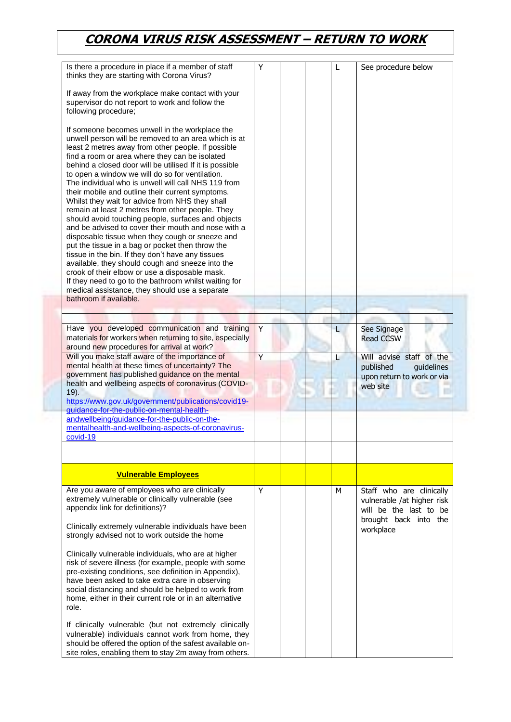| Is there a procedure in place if a member of staff<br>thinks they are starting with Corona Virus?                                                                                                                                                                                                                                                                                                                                                                                                                                                                                                                                                                                                                                                                                                                                                                                                                                                                                                                                                                  | Y |  | L | See procedure below                                                                                       |
|--------------------------------------------------------------------------------------------------------------------------------------------------------------------------------------------------------------------------------------------------------------------------------------------------------------------------------------------------------------------------------------------------------------------------------------------------------------------------------------------------------------------------------------------------------------------------------------------------------------------------------------------------------------------------------------------------------------------------------------------------------------------------------------------------------------------------------------------------------------------------------------------------------------------------------------------------------------------------------------------------------------------------------------------------------------------|---|--|---|-----------------------------------------------------------------------------------------------------------|
| If away from the workplace make contact with your<br>supervisor do not report to work and follow the<br>following procedure;                                                                                                                                                                                                                                                                                                                                                                                                                                                                                                                                                                                                                                                                                                                                                                                                                                                                                                                                       |   |  |   |                                                                                                           |
| If someone becomes unwell in the workplace the<br>unwell person will be removed to an area which is at<br>least 2 metres away from other people. If possible<br>find a room or area where they can be isolated<br>behind a closed door will be utilised If it is possible<br>to open a window we will do so for ventilation.<br>The individual who is unwell will call NHS 119 from<br>their mobile and outline their current symptoms.<br>Whilst they wait for advice from NHS they shall<br>remain at least 2 metres from other people. They<br>should avoid touching people, surfaces and objects<br>and be advised to cover their mouth and nose with a<br>disposable tissue when they cough or sneeze and<br>put the tissue in a bag or pocket then throw the<br>tissue in the bin. If they don't have any tissues<br>available, they should cough and sneeze into the<br>crook of their elbow or use a disposable mask.<br>If they need to go to the bathroom whilst waiting for<br>medical assistance, they should use a separate<br>bathroom if available. |   |  |   |                                                                                                           |
|                                                                                                                                                                                                                                                                                                                                                                                                                                                                                                                                                                                                                                                                                                                                                                                                                                                                                                                                                                                                                                                                    |   |  |   |                                                                                                           |
| Have you developed communication and training<br>materials for workers when returning to site, especially<br>around new procedures for arrival at work?                                                                                                                                                                                                                                                                                                                                                                                                                                                                                                                                                                                                                                                                                                                                                                                                                                                                                                            | Y |  | L | See Signage<br><b>Read CCSW</b>                                                                           |
| Will you make staff aware of the importance of<br>mental health at these times of uncertainty? The<br>government has published guidance on the mental<br>health and wellbeing aspects of coronavirus (COVID-<br>19).                                                                                                                                                                                                                                                                                                                                                                                                                                                                                                                                                                                                                                                                                                                                                                                                                                               | Y |  | L | Will advise staff of the<br>published<br>guidelines<br>upon return to work or via<br>web site             |
| https://www.gov.uk/government/publications/covid19-<br>guidance-for-the-public-on-mental-health-                                                                                                                                                                                                                                                                                                                                                                                                                                                                                                                                                                                                                                                                                                                                                                                                                                                                                                                                                                   |   |  |   |                                                                                                           |
| andwellbeing/guidance-for-the-public-on-the-<br>mentalhealth-and-wellbeing-aspects-of-coronavirus-<br>covid-19                                                                                                                                                                                                                                                                                                                                                                                                                                                                                                                                                                                                                                                                                                                                                                                                                                                                                                                                                     |   |  |   |                                                                                                           |
| <b>Vulnerable Employees</b>                                                                                                                                                                                                                                                                                                                                                                                                                                                                                                                                                                                                                                                                                                                                                                                                                                                                                                                                                                                                                                        |   |  |   |                                                                                                           |
|                                                                                                                                                                                                                                                                                                                                                                                                                                                                                                                                                                                                                                                                                                                                                                                                                                                                                                                                                                                                                                                                    |   |  |   |                                                                                                           |
| Are you aware of employees who are clinically<br>extremely vulnerable or clinically vulnerable (see<br>appendix link for definitions)?<br>Clinically extremely vulnerable individuals have been                                                                                                                                                                                                                                                                                                                                                                                                                                                                                                                                                                                                                                                                                                                                                                                                                                                                    | Y |  | м | Staff who are clinically<br>vulnerable /at higher risk<br>will be the last to be<br>brought back into the |
| strongly advised not to work outside the home                                                                                                                                                                                                                                                                                                                                                                                                                                                                                                                                                                                                                                                                                                                                                                                                                                                                                                                                                                                                                      |   |  |   | workplace                                                                                                 |
| Clinically vulnerable individuals, who are at higher<br>risk of severe illness (for example, people with some<br>pre-existing conditions, see definition in Appendix),<br>have been asked to take extra care in observing<br>social distancing and should be helped to work from<br>home, either in their current role or in an alternative<br>role.                                                                                                                                                                                                                                                                                                                                                                                                                                                                                                                                                                                                                                                                                                               |   |  |   |                                                                                                           |
| If clinically vulnerable (but not extremely clinically<br>vulnerable) individuals cannot work from home, they<br>should be offered the option of the safest available on-<br>site roles, enabling them to stay 2m away from others.                                                                                                                                                                                                                                                                                                                                                                                                                                                                                                                                                                                                                                                                                                                                                                                                                                |   |  |   |                                                                                                           |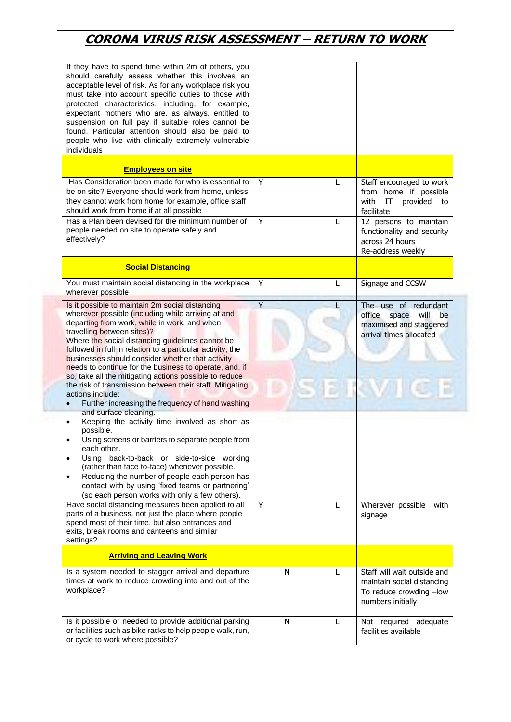| If they have to spend time within 2m of others, you<br>should carefully assess whether this involves an<br>acceptable level of risk. As for any workplace risk you<br>must take into account specific duties to those with<br>protected characteristics, including, for example,<br>expectant mothers who are, as always, entitled to<br>suspension on full pay if suitable roles cannot be<br>found. Particular attention should also be paid to<br>people who live with clinically extremely vulnerable<br>individuals                                                                                                                                                                                                                                                                                                                                                                                                                                                                                                                                                                                                                                                                                                                                                                                   |                     |   |        |                                                                                                                                                  |
|------------------------------------------------------------------------------------------------------------------------------------------------------------------------------------------------------------------------------------------------------------------------------------------------------------------------------------------------------------------------------------------------------------------------------------------------------------------------------------------------------------------------------------------------------------------------------------------------------------------------------------------------------------------------------------------------------------------------------------------------------------------------------------------------------------------------------------------------------------------------------------------------------------------------------------------------------------------------------------------------------------------------------------------------------------------------------------------------------------------------------------------------------------------------------------------------------------------------------------------------------------------------------------------------------------|---------------------|---|--------|--------------------------------------------------------------------------------------------------------------------------------------------------|
| <b>Employees on site</b>                                                                                                                                                                                                                                                                                                                                                                                                                                                                                                                                                                                                                                                                                                                                                                                                                                                                                                                                                                                                                                                                                                                                                                                                                                                                                   |                     |   |        |                                                                                                                                                  |
| Has Consideration been made for who is essential to<br>be on site? Everyone should work from home, unless<br>they cannot work from home for example, office staff<br>should work from home if at all possible                                                                                                                                                                                                                                                                                                                                                                                                                                                                                                                                                                                                                                                                                                                                                                                                                                                                                                                                                                                                                                                                                              | Y                   |   | L      | Staff encouraged to work<br>from home if possible<br>IT<br>provided<br>with<br>to<br>facilitate                                                  |
| Has a Plan been devised for the minimum number of<br>people needed on site to operate safely and<br>effectively?                                                                                                                                                                                                                                                                                                                                                                                                                                                                                                                                                                                                                                                                                                                                                                                                                                                                                                                                                                                                                                                                                                                                                                                           | Y                   |   | L      | 12 persons to maintain<br>functionality and security<br>across 24 hours<br>Re-address weekly                                                     |
| <b>Social Distancing</b>                                                                                                                                                                                                                                                                                                                                                                                                                                                                                                                                                                                                                                                                                                                                                                                                                                                                                                                                                                                                                                                                                                                                                                                                                                                                                   |                     |   |        |                                                                                                                                                  |
| You must maintain social distancing in the workplace<br>wherever possible                                                                                                                                                                                                                                                                                                                                                                                                                                                                                                                                                                                                                                                                                                                                                                                                                                                                                                                                                                                                                                                                                                                                                                                                                                  | Y                   |   | L      | Signage and CCSW                                                                                                                                 |
| Is it possible to maintain 2m social distancing<br>wherever possible (including while arriving at and<br>departing from work, while in work, and when<br>travelling between sites)?<br>Where the social distancing guidelines cannot be<br>followed in full in relation to a particular activity, the<br>businesses should consider whether that activity<br>needs to continue for the business to operate, and, if<br>so, take all the mitigating actions possible to reduce<br>the risk of transmission between their staff. Mitigating<br>actions include:<br>Further increasing the frequency of hand washing<br>and surface cleaning.<br>Keeping the activity time involved as short as<br>$\bullet$<br>possible.<br>Using screens or barriers to separate people from<br>$\bullet$<br>each other.<br>Using back-to-back or side-to-side working<br>$\bullet$<br>(rather than face to-face) whenever possible.<br>Reducing the number of people each person has<br>$\bullet$<br>contact with by using 'fixed teams or partnering'<br>(so each person works with only a few others).<br>Have social distancing measures been applied to all<br>parts of a business, not just the place where people<br>spend most of their time, but also entrances and<br>exits, break rooms and canteens and similar | $\overline{Y}$<br>Y |   | L<br>L | The use of redundant<br>office<br>will<br>space<br>be<br>maximised and staggered<br>arrival times allocated<br>Wherever possible with<br>signage |
| settings?<br><b>Arriving and Leaving Work</b>                                                                                                                                                                                                                                                                                                                                                                                                                                                                                                                                                                                                                                                                                                                                                                                                                                                                                                                                                                                                                                                                                                                                                                                                                                                              |                     |   |        |                                                                                                                                                  |
| Is a system needed to stagger arrival and departure<br>times at work to reduce crowding into and out of the<br>workplace?                                                                                                                                                                                                                                                                                                                                                                                                                                                                                                                                                                                                                                                                                                                                                                                                                                                                                                                                                                                                                                                                                                                                                                                  |                     | N | L      | Staff will wait outside and<br>maintain social distancing<br>To reduce crowding -low<br>numbers initially                                        |
| Is it possible or needed to provide additional parking<br>or facilities such as bike racks to help people walk, run,<br>or cycle to work where possible?                                                                                                                                                                                                                                                                                                                                                                                                                                                                                                                                                                                                                                                                                                                                                                                                                                                                                                                                                                                                                                                                                                                                                   |                     | N | L      | Not required adequate<br>facilities available                                                                                                    |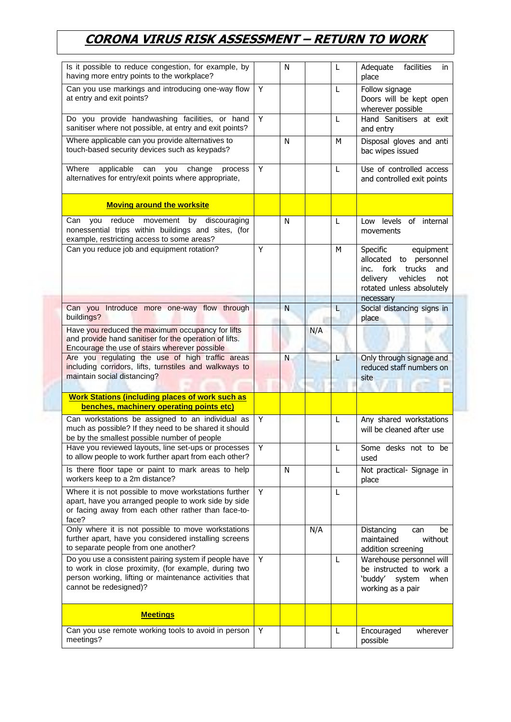| Is it possible to reduce congestion, for example, by<br>having more entry points to the workplace?                                                                                                |   | N |     | L | facilities<br>Adequate<br>in<br>place                                                                                                                        |
|---------------------------------------------------------------------------------------------------------------------------------------------------------------------------------------------------|---|---|-----|---|--------------------------------------------------------------------------------------------------------------------------------------------------------------|
| Can you use markings and introducing one-way flow<br>at entry and exit points?                                                                                                                    | Y |   |     | L | Follow signage<br>Doors will be kept open<br>wherever possible                                                                                               |
| Do you provide handwashing facilities, or hand<br>sanitiser where not possible, at entry and exit points?                                                                                         | Y |   |     | L | Hand Sanitisers at exit<br>and entry                                                                                                                         |
| Where applicable can you provide alternatives to<br>touch-based security devices such as keypads?                                                                                                 |   | N |     | м | Disposal gloves and anti<br>bac wipes issued                                                                                                                 |
| Where<br>applicable<br>change<br>can<br>you<br>process<br>alternatives for entry/exit points where appropriate,                                                                                   | Y |   |     | L | Use of controlled access<br>and controlled exit points                                                                                                       |
| <b>Moving around the worksite</b>                                                                                                                                                                 |   |   |     |   |                                                                                                                                                              |
| reduce<br>movement by<br>discouraging<br>Can<br>you<br>nonessential trips within buildings and sites, (for<br>example, restricting access to some areas?                                          |   | N |     | L | Low levels of internal<br>movements                                                                                                                          |
| Can you reduce job and equipment rotation?                                                                                                                                                        | Y |   |     | M | Specific<br>equipment<br>allocated<br>to personnel<br>fork<br>trucks<br>and<br>inc.<br>vehicles<br>delivery<br>not<br>rotated unless absolutely<br>necessary |
| Can you<br>Introduce more one-way flow through                                                                                                                                                    |   | N |     | L | Social distancing signs in                                                                                                                                   |
| buildings?                                                                                                                                                                                        |   |   |     |   | place                                                                                                                                                        |
| Have you reduced the maximum occupancy for lifts<br>and provide hand sanitiser for the operation of lifts.<br>Encourage the use of stairs wherever possible                                       |   |   | N/A |   |                                                                                                                                                              |
| Are you regulating the use of high traffic areas<br>including corridors, lifts, turnstiles and walkways to<br>maintain social distancing?                                                         |   | N |     | L | Only through signage and<br>reduced staff numbers on<br>site                                                                                                 |
| <b>Work Stations (including places of work such as</b>                                                                                                                                            |   |   |     |   |                                                                                                                                                              |
| benches, machinery operating points etc)                                                                                                                                                          |   |   |     |   |                                                                                                                                                              |
| Can workstations be assigned to an individual as<br>much as possible? If they need to be shared it should<br>be by the smallest possible number of people                                         | Y |   |     | L | Any shared workstations<br>will be cleaned after use                                                                                                         |
| Have you reviewed layouts, line set-ups or processes<br>to allow people to work further apart from each other?                                                                                    | Y |   |     | L | Some desks not to be<br>used                                                                                                                                 |
| Is there floor tape or paint to mark areas to help<br>workers keep to a 2m distance?                                                                                                              |   | N |     | L | Not practical- Signage in<br>place                                                                                                                           |
| Where it is not possible to move workstations further<br>apart, have you arranged people to work side by side<br>or facing away from each other rather than face-to-<br>face?                     | Y |   |     | L |                                                                                                                                                              |
| Only where it is not possible to move workstations<br>further apart, have you considered installing screens<br>to separate people from one another?                                               |   |   | N/A |   | Distancing<br>be<br>can<br>without<br>maintained<br>addition screening                                                                                       |
| Do you use a consistent pairing system if people have<br>to work in close proximity, (for example, during two<br>person working, lifting or maintenance activities that<br>cannot be redesigned)? | Y |   |     | L | Warehouse personnel will<br>be instructed to work a<br>'buddy'<br>system<br>when<br>working as a pair                                                        |
| <b>Meetings</b>                                                                                                                                                                                   |   |   |     |   |                                                                                                                                                              |
| Can you use remote working tools to avoid in person<br>meetings?                                                                                                                                  | Y |   |     | L | Encouraged<br>wherever<br>possible                                                                                                                           |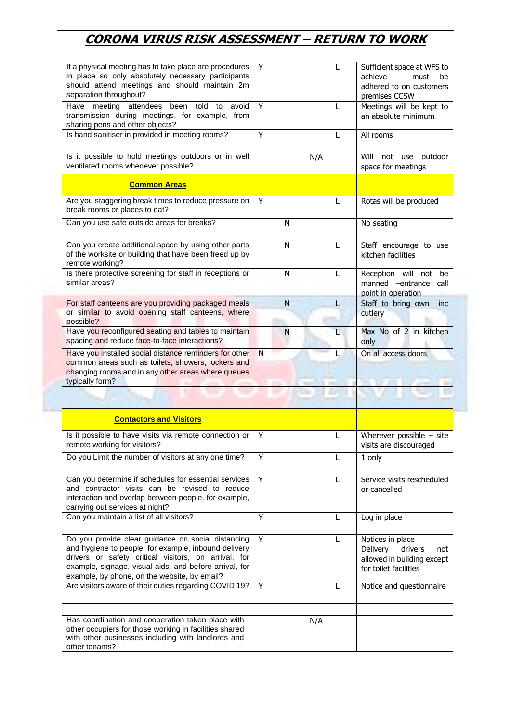| If a physical meeting has to take place are procedures<br>in place so only absolutely necessary participants<br>should attend meetings and should maintain 2m<br>separation throughout?                                                                                      | Y |   |     | L | Sufficient space at WFS to<br>achieve<br>$-$ must<br>be<br>adhered to on customers<br>premises CCSW   |
|------------------------------------------------------------------------------------------------------------------------------------------------------------------------------------------------------------------------------------------------------------------------------|---|---|-----|---|-------------------------------------------------------------------------------------------------------|
| Have meeting attendees been told<br>avoid<br>to<br>transmission during meetings, for example, from<br>sharing pens and other objects?                                                                                                                                        | Y |   |     | L | Meetings will be kept to<br>an absolute minimum                                                       |
| Is hand sanitiser in provided in meeting rooms?                                                                                                                                                                                                                              | Y |   |     | L | All rooms                                                                                             |
| Is it possible to hold meetings outdoors or in well<br>ventilated rooms whenever possible?                                                                                                                                                                                   |   |   | N/A |   | Will<br>not use outdoor<br>space for meetings                                                         |
| <b>Common Areas</b>                                                                                                                                                                                                                                                          |   |   |     |   |                                                                                                       |
| Are you staggering break times to reduce pressure on<br>break rooms or places to eat?                                                                                                                                                                                        | Y |   |     | L | Rotas will be produced                                                                                |
| Can you use safe outside areas for breaks?                                                                                                                                                                                                                                   |   | N |     |   | No seating                                                                                            |
| Can you create additional space by using other parts<br>of the worksite or building that have been freed up by<br>remote working?                                                                                                                                            |   | N |     | L | Staff encourage to use<br>kitchen facilities                                                          |
| Is there protective screening for staff in receptions or<br>similar areas?                                                                                                                                                                                                   |   | N |     | L | Reception will not be<br>manned -entrance call<br>point in operation                                  |
| For staff canteens are you providing packaged meals<br>or similar to avoid opening staff canteens, where<br>possible?                                                                                                                                                        |   | N |     | L | Staff to bring own<br>inc<br>cutlery                                                                  |
| Have you reconfigured seating and tables to maintain<br>spacing and reduce face-to-face interactions?                                                                                                                                                                        |   | N |     | L | Max No of 2 in kitchen<br>only                                                                        |
| Have you installed social distance reminders for other<br>common areas such as toilets, showers, lockers and<br>changing rooms and in any other areas where queues<br>typically form?                                                                                        | N |   |     | L | On all access doors                                                                                   |
|                                                                                                                                                                                                                                                                              |   |   |     |   |                                                                                                       |
| <b>Contactors and Visitors</b>                                                                                                                                                                                                                                               |   |   |     |   |                                                                                                       |
| Is it possible to have visits via remote connection or<br>remote working for visitors?                                                                                                                                                                                       | Y |   |     | L | Wherever possible $-$ site<br>visits are discouraged                                                  |
| Do you Limit the number of visitors at any one time?                                                                                                                                                                                                                         | Υ |   |     | L | 1 only                                                                                                |
| Can you determine if schedules for essential services<br>and contractor visits can be revised to reduce<br>interaction and overlap between people, for example,<br>carrying out services at night?                                                                           | Y |   |     | L | Service visits rescheduled<br>or cancelled                                                            |
| Can you maintain a list of all visitors?                                                                                                                                                                                                                                     | Y |   |     | L | Log in place                                                                                          |
| Do you provide clear guidance on social distancing<br>and hygiene to people, for example, inbound delivery<br>drivers or safety critical visitors, on arrival, for<br>example, signage, visual aids, and before arrival, for<br>example, by phone, on the website, by email? | Y |   |     | L | Notices in place<br>Delivery<br>drivers<br>not<br>allowed in building except<br>for toilet facilities |
| Are visitors aware of their duties regarding COVID 19?                                                                                                                                                                                                                       | Y |   |     | L | Notice and questionnaire                                                                              |
| Has coordination and cooperation taken place with<br>other occupiers for those working in facilities shared<br>with other businesses including with landlords and<br>other tenants?                                                                                          |   |   | N/A |   |                                                                                                       |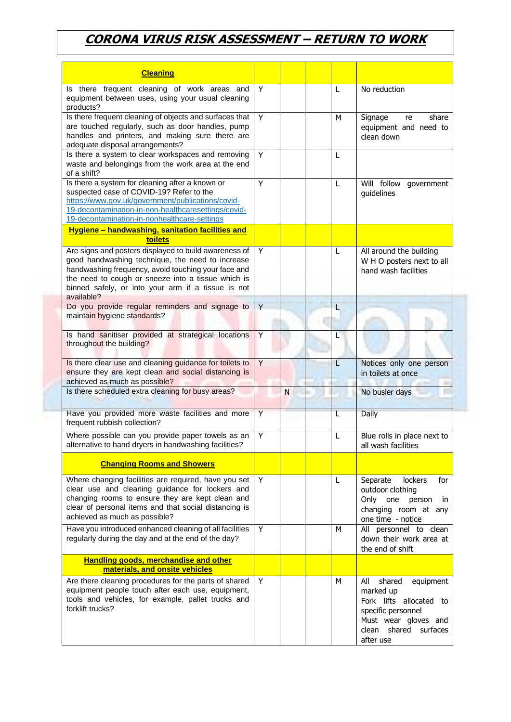| <b>Cleaning</b>                                                                                                                                                                                                                                                                            |   |   |   |                                                                                                                                                        |
|--------------------------------------------------------------------------------------------------------------------------------------------------------------------------------------------------------------------------------------------------------------------------------------------|---|---|---|--------------------------------------------------------------------------------------------------------------------------------------------------------|
| Is there frequent cleaning of work areas and<br>equipment between uses, using your usual cleaning<br>products?                                                                                                                                                                             | Y |   | L | No reduction                                                                                                                                           |
| Is there frequent cleaning of objects and surfaces that<br>are touched regularly, such as door handles, pump<br>handles and printers, and making sure there are<br>adequate disposal arrangements?                                                                                         | Y |   | M | share<br>Signage<br>re<br>equipment and need to<br>clean down                                                                                          |
| Is there a system to clear workspaces and removing<br>waste and belongings from the work area at the end<br>of a shift?                                                                                                                                                                    | Y |   | L |                                                                                                                                                        |
| Is there a system for cleaning after a known or<br>suspected case of COVID-19? Refer to the<br>https://www.gov.uk/government/publications/covid-<br>19-decontamination-in-non-healthcaresettings/covid-<br>19-decontamination-in-nonhealthcare-settings                                    | Y |   | L | Will follow government<br>guidelines                                                                                                                   |
| Hygiene - handwashing, sanitation facilities and<br>toilets                                                                                                                                                                                                                                |   |   |   |                                                                                                                                                        |
| Are signs and posters displayed to build awareness of<br>good handwashing technique, the need to increase<br>handwashing frequency, avoid touching your face and<br>the need to cough or sneeze into a tissue which is<br>binned safely, or into your arm if a tissue is not<br>available? | Y |   | L | All around the building<br>W H O posters next to all<br>hand wash facilities                                                                           |
| Do you provide regular reminders and signage to<br>maintain hygiene standards?                                                                                                                                                                                                             | Y |   | L |                                                                                                                                                        |
| Is hand sanitiser provided at strategical locations<br>throughout the building?                                                                                                                                                                                                            | Y |   | L |                                                                                                                                                        |
| Is there clear use and cleaning guidance for toilets to<br>ensure they are kept clean and social distancing is<br>achieved as much as possible?                                                                                                                                            | Y |   | L | Notices only one person<br>in toilets at once                                                                                                          |
| Is there scheduled extra cleaning for busy areas?                                                                                                                                                                                                                                          |   | N |   | No busier days                                                                                                                                         |
| Have you provided more waste facilities and more<br>frequent rubbish collection?                                                                                                                                                                                                           | Y |   | L | <b>Daily</b>                                                                                                                                           |
| Where possible can you provide paper towels as an<br>alternative to hand dryers in handwashing facilities?                                                                                                                                                                                 | Y |   | L | Blue rolls in place next to<br>all wash facilities                                                                                                     |
| <b>Changing Rooms and Showers</b>                                                                                                                                                                                                                                                          |   |   |   |                                                                                                                                                        |
| Where changing facilities are required, have you set<br>clear use and cleaning guidance for lockers and<br>changing rooms to ensure they are kept clean and<br>clear of personal items and that social distancing is<br>achieved as much as possible?                                      | Y |   | L | Separate<br>lockers<br>for<br>outdoor clothing<br>Only<br>one<br>person<br>in<br>changing room at any<br>one time - notice                             |
| Have you introduced enhanced cleaning of all facilities<br>regularly during the day and at the end of the day?                                                                                                                                                                             | Y |   | м | All personnel to clean<br>down their work area at<br>the end of shift                                                                                  |
| <b>Handling goods, merchandise and other</b><br>materials, and onsite vehicles                                                                                                                                                                                                             |   |   |   |                                                                                                                                                        |
| Are there cleaning procedures for the parts of shared<br>equipment people touch after each use, equipment,<br>tools and vehicles, for example, pallet trucks and<br>forklift trucks?                                                                                                       | Y |   | M | All<br>shared<br>equipment<br>marked up<br>Fork lifts allocated to<br>specific personnel<br>Must wear gloves and<br>clean shared surfaces<br>after use |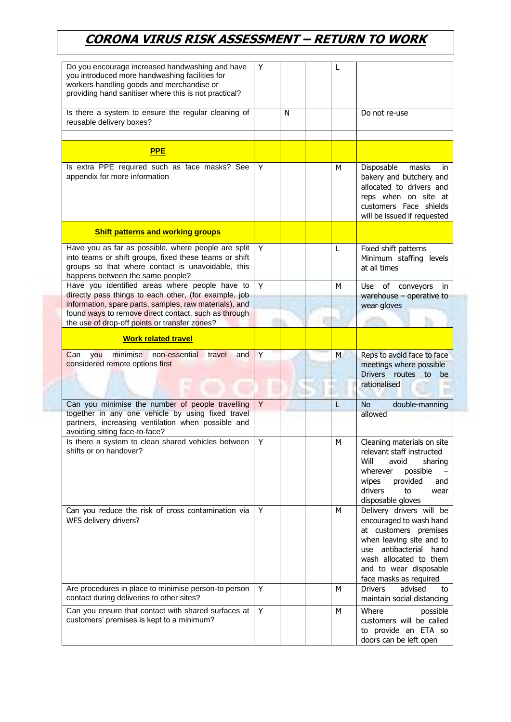| Do you encourage increased handwashing and have<br>you introduced more handwashing facilities for<br>workers handling goods and merchandise or<br>providing hand sanitiser where this is not practical?                                                                    | Y |   | L            |   |                                                                                                                                                                                                                     |
|----------------------------------------------------------------------------------------------------------------------------------------------------------------------------------------------------------------------------------------------------------------------------|---|---|--------------|---|---------------------------------------------------------------------------------------------------------------------------------------------------------------------------------------------------------------------|
| Is there a system to ensure the regular cleaning of<br>reusable delivery boxes?                                                                                                                                                                                            |   | N |              |   | Do not re-use                                                                                                                                                                                                       |
| <b>PPE</b>                                                                                                                                                                                                                                                                 |   |   |              |   |                                                                                                                                                                                                                     |
| Is extra PPE required such as face masks? See<br>appendix for more information                                                                                                                                                                                             | Y |   | M            |   | Disposable<br>masks<br>in<br>bakery and butchery and<br>allocated to drivers and<br>reps when on site at<br>customers Face shields<br>will be issued if requested                                                   |
| <b>Shift patterns and working groups</b>                                                                                                                                                                                                                                   |   |   |              |   |                                                                                                                                                                                                                     |
| Have you as far as possible, where people are split<br>into teams or shift groups, fixed these teams or shift<br>groups so that where contact is unavoidable, this<br>happens between the same people?                                                                     | Y |   | $\mathsf{L}$ |   | Fixed shift patterns<br>Minimum staffing levels<br>at all times                                                                                                                                                     |
| Have you identified areas where people have to<br>directly pass things to each other, (for example, job<br>information, spare parts, samples, raw materials), and<br>found ways to remove direct contact, such as through<br>the use of drop-off points or transfer zones? | Y |   | M            |   | of<br><b>Use</b><br>conveyors<br>in.<br>warehouse $-$ operative to<br>wear gloves                                                                                                                                   |
| <b>Work related travel</b>                                                                                                                                                                                                                                                 |   |   |              |   |                                                                                                                                                                                                                     |
| minimise non-essential travel<br>Can<br>you<br>and<br>considered remote options first                                                                                                                                                                                      | Y |   |              | M | Reps to avoid face to face<br>meetings where possible<br>Drivers routes<br>to<br>be<br>rationalised                                                                                                                 |
| Can you minimise the number of people travelling<br>together in any one vehicle by using fixed travel<br>partners, increasing ventilation when possible and<br>avoiding sitting face-to-face?                                                                              | Y |   | L            |   | double-manning<br><b>No</b><br>allowed                                                                                                                                                                              |
| Is there a system to clean shared vehicles between<br>shifts or on handover?                                                                                                                                                                                               | Y |   | М            |   | Cleaning materials on site<br>relevant staff instructed<br>Will<br>avoid<br>sharing<br>possible<br>wherever<br>provided<br>wipes<br>and<br>drivers<br>to<br>wear<br>disposable gloves                               |
| Can you reduce the risk of cross contamination via<br>WFS delivery drivers?                                                                                                                                                                                                | Y |   | M            |   | Delivery drivers will be<br>encouraged to wash hand<br>at customers premises<br>when leaving site and to<br>antibacterial hand<br>use<br>wash allocated to them<br>and to wear disposable<br>face masks as required |
| Are procedures in place to minimise person-to person<br>contact during deliveries to other sites?                                                                                                                                                                          | Y |   | M            |   | advised<br><b>Drivers</b><br>to<br>maintain social distancing                                                                                                                                                       |
| Can you ensure that contact with shared surfaces at<br>customers' premises is kept to a minimum?                                                                                                                                                                           | Y |   | M            |   | Where<br>possible<br>customers will be called<br>to provide an ETA so<br>doors can be left open                                                                                                                     |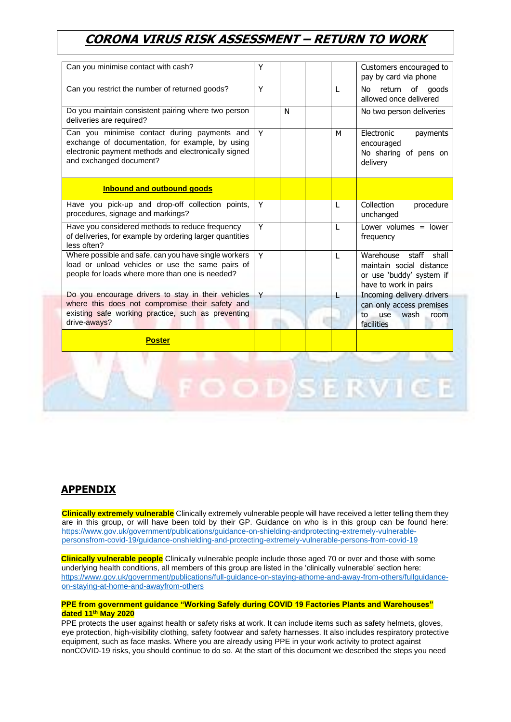| Can you minimise contact with cash?                                                                                                                                                 | Y              |   |   | Customers encouraged to<br>pay by card via phone                                                             |
|-------------------------------------------------------------------------------------------------------------------------------------------------------------------------------------|----------------|---|---|--------------------------------------------------------------------------------------------------------------|
| Can you restrict the number of returned goods?                                                                                                                                      | Y              |   | L | No<br>return<br>of<br>goods<br>allowed once delivered                                                        |
| Do you maintain consistent pairing where two person<br>deliveries are required?                                                                                                     |                | N |   | No two person deliveries                                                                                     |
| Can you minimise contact during payments and<br>exchange of documentation, for example, by using<br>electronic payment methods and electronically signed<br>and exchanged document? | Y              |   | M | Electronic<br>payments<br>encouraged<br>No sharing of pens on<br>delivery                                    |
| <b>Inbound and outbound goods</b>                                                                                                                                                   |                |   |   |                                                                                                              |
| Have you pick-up and drop-off collection points,<br>procedures, signage and markings?                                                                                               | Y              |   | L | Collection<br>procedure<br>unchanged                                                                         |
| Have you considered methods to reduce frequency<br>of deliveries, for example by ordering larger quantities<br>less often?                                                          | $\overline{Y}$ |   | L | Lower volumes $=$ lower<br>frequency                                                                         |
| Where possible and safe, can you have single workers<br>load or unload vehicles or use the same pairs of<br>people for loads where more than one is needed?                         | Y              |   | L | Warehouse<br>staff<br>shall<br>maintain social distance<br>or use 'buddy' system if<br>have to work in pairs |
| Do you encourage drivers to stay in their vehicles<br>where this does not compromise their safety and                                                                               | Y              |   |   | Incoming delivery drivers<br>can only access premises                                                        |
| existing safe working practice, such as preventing<br>drive-aways?                                                                                                                  |                |   |   | wash<br>use<br>to<br>room<br>facilities                                                                      |
| <b>Poster</b>                                                                                                                                                                       |                |   |   |                                                                                                              |
|                                                                                                                                                                                     |                |   |   | <b>ISERVI</b>                                                                                                |

#### **APPENDIX**

**Clinically extremely vulnerable** Clinically extremely vulnerable people will have received a letter telling them they are in this group, or will have been told by their GP. Guidance on who is in this group can be found here: [https://www.gov.uk/government/publications/guidance-on-shielding-andprotecting-extremely-vulnerable](https://www.gov.uk/government/publications/guidance-on-shielding-andprotecting-extremely-vulnerable-persons-from-covid-19/guidance-onshielding-and-protecting-extremely-vulnerable-persons-from-covid-19)[personsfrom-covid-19/guidance-onshielding-and-protecting-extremely-vulnerable-persons-from-covid-19](https://www.gov.uk/government/publications/guidance-on-shielding-andprotecting-extremely-vulnerable-persons-from-covid-19/guidance-onshielding-and-protecting-extremely-vulnerable-persons-from-covid-19)

**Clinically vulnerable people** Clinically vulnerable people include those aged 70 or over and those with some underlying health conditions, all members of this group are listed in the 'clinically vulnerable' section here: [https://www.gov.uk/government/publications/full-guidance-on-staying-athome-and-away-from-others/fullguidance](https://www.gov.uk/government/publications/full-guidance-on-staying-athome-and-away-from-others/full-guidance-on-staying-at-home-and-awayfrom-others)[on-staying-at-home-and-awayfrom-others](https://www.gov.uk/government/publications/full-guidance-on-staying-athome-and-away-from-others/full-guidance-on-staying-at-home-and-awayfrom-others)

#### **PPE from government guidance "Working Safely during COVID 19 Factories Plants and Warehouses" dated 11th May 2020**

PPE protects the user against health or safety risks at work. It can include items such as safety helmets, gloves, eye protection, high-visibility clothing, safety footwear and safety harnesses. It also includes respiratory protective equipment, such as face masks. Where you are already using PPE in your work activity to protect against nonCOVID-19 risks, you should continue to do so. At the start of this document we described the steps you need